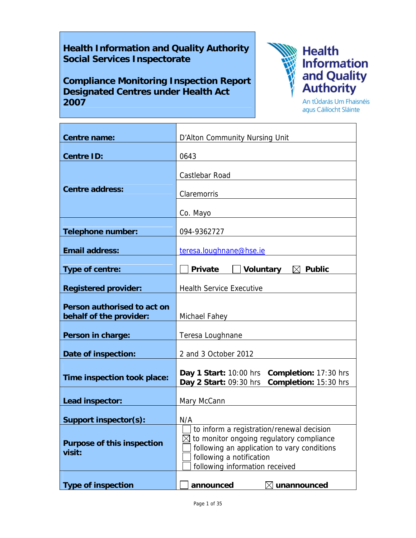# **Health Information and Quality Authority Social Services Inspectorate**

**Compliance Monitoring Inspection Report Designated Centres under Health Act 2007**

T



An tÚdarás Um Fhaisnéis agus Cáilíocht Sláinte

 $\overline{\phantom{a}}$ 

| <b>Centre name:</b>                                    | D'Alton Community Nursing Unit                                                                                                                                                                                 |
|--------------------------------------------------------|----------------------------------------------------------------------------------------------------------------------------------------------------------------------------------------------------------------|
| <b>Centre ID:</b>                                      | 0643                                                                                                                                                                                                           |
| <b>Centre address:</b>                                 | Castlebar Road<br>Claremorris                                                                                                                                                                                  |
|                                                        | Co. Mayo                                                                                                                                                                                                       |
| <b>Telephone number:</b>                               | 094-9362727                                                                                                                                                                                                    |
| <b>Email address:</b>                                  | teresa.loughnane@hse.ie                                                                                                                                                                                        |
| Type of centre:                                        | Voluntary<br><b>Private</b><br>$\boxtimes$ Public                                                                                                                                                              |
| <b>Registered provider:</b>                            | <b>Health Service Executive</b>                                                                                                                                                                                |
| Person authorised to act on<br>behalf of the provider: | Michael Fahey <b>Exercise Servers</b>                                                                                                                                                                          |
| Person in charge:                                      | Teresa Loughnane                                                                                                                                                                                               |
| Date of inspection:                                    | 2 and 3 October 2012                                                                                                                                                                                           |
| Time inspection took place:                            | Day 1 Start: 10:00 hrs Completion: 17:30 hrs<br>Completion: 15:30 hrs<br>Day 2 Start: 09:30 hrs                                                                                                                |
| Lead inspector:                                        | Mary McCann                                                                                                                                                                                                    |
| Support inspector(s):                                  | N/A                                                                                                                                                                                                            |
| <b>Purpose of this inspection</b><br>visit:            | to inform a registration/renewal decision<br>$\boxtimes$ to monitor ongoing regulatory compliance<br>following an application to vary conditions<br>following a notification<br>following information received |
| <b>Type of inspection</b>                              | announced<br>unannounced                                                                                                                                                                                       |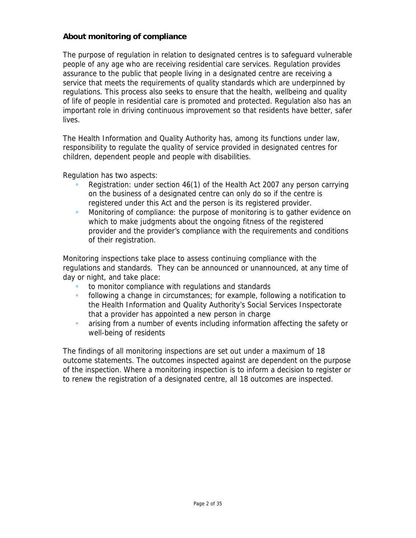## **About monitoring of compliance**

The purpose of regulation in relation to designated centres is to safeguard vulnerable people of any age who are receiving residential care services. Regulation provides assurance to the public that people living in a designated centre are receiving a service that meets the requirements of quality standards which are underpinned by regulations. This process also seeks to ensure that the health, wellbeing and quality of life of people in residential care is promoted and protected. Regulation also has an important role in driving continuous improvement so that residents have better, safer lives.

The Health Information and Quality Authority has, among its functions under law, responsibility to regulate the quality of service provided in designated centres for children, dependent people and people with disabilities.

Regulation has two aspects:

- Registration: under section 46(1) of the Health Act 2007 any person carrying on the business of a designated centre can only do so if the centre is registered under this Act and the person is its registered provider.
- **Monitoring of compliance: the purpose of monitoring is to gather evidence on** which to make judgments about the ongoing fitness of the registered provider and the provider's compliance with the requirements and conditions of their registration.

Monitoring inspections take place to assess continuing compliance with the regulations and standards. They can be announced or unannounced, at any time of day or night, and take place:

- to monitor compliance with regulations and standards
- following a change in circumstances; for example, following a notification to the Health Information and Quality Authority's Social Services Inspectorate that a provider has appointed a new person in charge
- arising from a number of events including information affecting the safety or well-being of residents

The findings of all monitoring inspections are set out under a maximum of 18 outcome statements. The outcomes inspected against are dependent on the purpose of the inspection. Where a monitoring inspection is to inform a decision to register or to renew the registration of a designated centre, all 18 outcomes are inspected.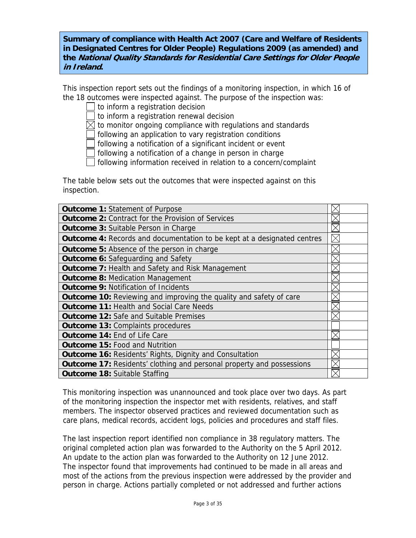**Summary of compliance with Health Act 2007 (Care and Welfare of Residents in Designated Centres for Older People) Regulations 2009 (as amended) and the National Quality Standards for Residential Care Settings for Older People in Ireland.**

This inspection report sets out the findings of a monitoring inspection, in which 16 of the 18 outcomes were inspected against. The purpose of the inspection was:

to inform a registration decision

to inform a registration renewal decision

 $\boxtimes$  to monitor ongoing compliance with regulations and standards

following an application to vary registration conditions

following a notification of a significant incident or event

following a notification of a change in person in charge

following information received in relation to a concern/complaint

The table below sets out the outcomes that were inspected against on this inspection.

| <b>Outcome 1: Statement of Purpose</b>                                         |  |
|--------------------------------------------------------------------------------|--|
| <b>Outcome 2: Contract for the Provision of Services</b>                       |  |
| <b>Outcome 3: Suitable Person in Charge</b>                                    |  |
| <b>Outcome 4:</b> Records and documentation to be kept at a designated centres |  |
| <b>Outcome 5:</b> Absence of the person in charge                              |  |
| <b>Outcome 6: Safeguarding and Safety</b>                                      |  |
| <b>Outcome 7: Health and Safety and Risk Management</b>                        |  |
| <b>Outcome 8: Medication Management</b>                                        |  |
| <b>Outcome 9: Notification of Incidents</b>                                    |  |
| <b>Outcome 10:</b> Reviewing and improving the quality and safety of care      |  |
| <b>Outcome 11: Health and Social Care Needs</b>                                |  |
| <b>Outcome 12: Safe and Suitable Premises</b>                                  |  |
| <b>Outcome 13: Complaints procedures</b>                                       |  |
| <b>Outcome 14: End of Life Care</b>                                            |  |
| <b>Outcome 15: Food and Nutrition</b>                                          |  |
| <b>Outcome 16: Residents' Rights, Dignity and Consultation</b>                 |  |
| <b>Outcome 17: Residents' clothing and personal property and possessions</b>   |  |
| <b>Outcome 18: Suitable Staffing</b>                                           |  |

This monitoring inspection was unannounced and took place over two days. As part of the monitoring inspection the inspector met with residents, relatives, and staff members. The inspector observed practices and reviewed documentation such as care plans, medical records, accident logs, policies and procedures and staff files.

The last inspection report identified non compliance in 38 regulatory matters. The original completed action plan was forwarded to the Authority on the 5 April 2012. An update to the action plan was forwarded to the Authority on 12 June 2012. The inspector found that improvements had continued to be made in all areas and most of the actions from the previous inspection were addressed by the provider and person in charge. Actions partially completed or not addressed and further actions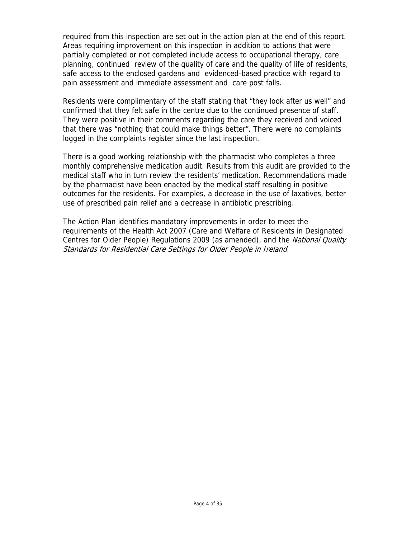required from this inspection are set out in the action plan at the end of this report. Areas requiring improvement on this inspection in addition to actions that were partially completed or not completed include access to occupational therapy, care planning, continued review of the quality of care and the quality of life of residents, safe access to the enclosed gardens and evidenced-based practice with regard to pain assessment and immediate assessment and care post falls.

Residents were complimentary of the staff stating that "they look after us well" and confirmed that they felt safe in the centre due to the continued presence of staff. They were positive in their comments regarding the care they received and voiced that there was "nothing that could make things better". There were no complaints logged in the complaints register since the last inspection.

There is a good working relationship with the pharmacist who completes a three monthly comprehensive medication audit. Results from this audit are provided to the medical staff who in turn review the residents' medication. Recommendations made by the pharmacist have been enacted by the medical staff resulting in positive outcomes for the residents. For examples, a decrease in the use of laxatives, better use of prescribed pain relief and a decrease in antibiotic prescribing.

The Action Plan identifies mandatory improvements in order to meet the requirements of the Health Act 2007 (Care and Welfare of Residents in Designated Centres for Older People) Regulations 2009 (as amended), and the *National Quality* Standards for Residential Care Settings for Older People in Ireland.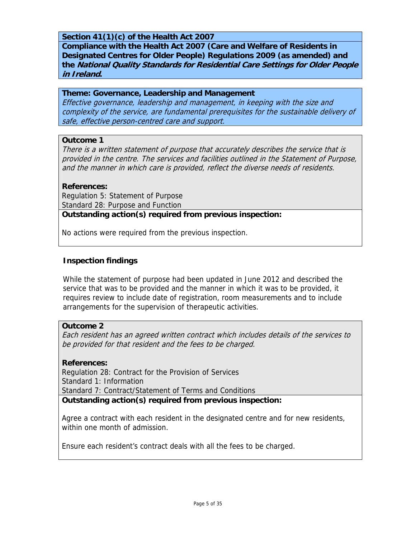## **Section 41(1)(c) of the Health Act 2007**

**Compliance with the Health Act 2007 (Care and Welfare of Residents in Designated Centres for Older People) Regulations 2009 (as amended) and the National Quality Standards for Residential Care Settings for Older People in Ireland.** 

#### **Theme: Governance, Leadership and Management**

Effective governance, leadership and management, in keeping with the size and complexity of the service, are fundamental prerequisites for the sustainable delivery of safe, effective person-centred care and support.

#### **Outcome 1**

There is a written statement of purpose that accurately describes the service that is provided in the centre. The services and facilities outlined in the Statement of Purpose, and the manner in which care is provided, reflect the diverse needs of residents.

#### **References:**

Regulation 5: Statement of Purpose Standard 28: Purpose and Function **Outstanding action(s) required from previous inspection:**

No actions were required from the previous inspection.

## **Inspection findings**

While the statement of purpose had been updated in June 2012 and described the service that was to be provided and the manner in which it was to be provided, it requires review to include date of registration, room measurements and to include arrangements for the supervision of therapeutic activities.

#### **Outcome 2**

Each resident has an agreed written contract which includes details of the services to be provided for that resident and the fees to be charged.

#### **References:**

Regulation 28: Contract for the Provision of Services Standard 1: Information Standard 7: Contract/Statement of Terms and Conditions

**Outstanding action(s) required from previous inspection:**

Agree a contract with each resident in the designated centre and for new residents, within one month of admission.

Ensure each resident's contract deals with all the fees to be charged.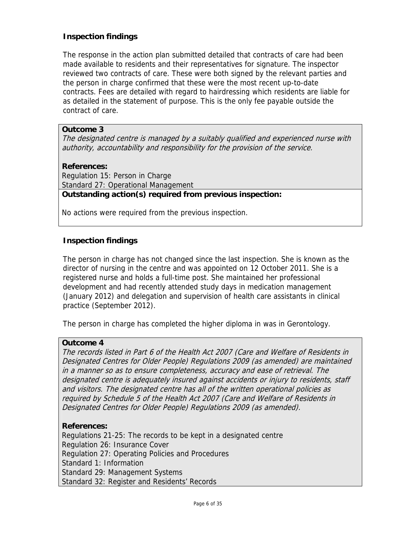## **Inspection findings**

The response in the action plan submitted detailed that contracts of care had been made available to residents and their representatives for signature. The inspector reviewed two contracts of care. These were both signed by the relevant parties and the person in charge confirmed that these were the most recent up-to-date contracts. Fees are detailed with regard to hairdressing which residents are liable for as detailed in the statement of purpose. This is the only fee payable outside the contract of care.

#### **Outcome 3**

The designated centre is managed by a suitably qualified and experienced nurse with authority, accountability and responsibility for the provision of the service.

#### **References:**

Regulation 15: Person in Charge Standard 27: Operational Management **Outstanding action(s) required from previous inspection:**

No actions were required from the previous inspection.

## **Inspection findings**

The person in charge has not changed since the last inspection. She is known as the director of nursing in the centre and was appointed on 12 October 2011. She is a registered nurse and holds a full-time post. She maintained her professional development and had recently attended study days in medication management (January 2012) and delegation and supervision of health care assistants in clinical practice (September 2012).

The person in charge has completed the higher diploma in was in Gerontology.

#### **Outcome 4**

The records listed in Part 6 of the Health Act 2007 (Care and Welfare of Residents in Designated Centres for Older People) Regulations 2009 (as amended) are maintained in a manner so as to ensure completeness, accuracy and ease of retrieval. The designated centre is adequately insured against accidents or injury to residents, staff and visitors. The designated centre has all of the written operational policies as required by Schedule 5 of the Health Act 2007 (Care and Welfare of Residents in Designated Centres for Older People) Regulations 2009 (as amended).

#### **References:**

Regulations 21-25: The records to be kept in a designated centre Regulation 26: Insurance Cover Regulation 27: Operating Policies and Procedures Standard 1: Information Standard 29: Management Systems Standard 32: Register and Residents' Records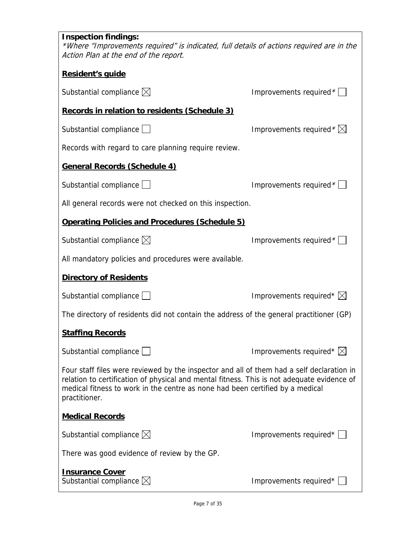| <b>Inspection findings:</b><br>*Where "Improvements required" is indicated, full details of actions required are in the<br>Action Plan at the end of the report.                                                                                                                          |                                    |  |
|-------------------------------------------------------------------------------------------------------------------------------------------------------------------------------------------------------------------------------------------------------------------------------------------|------------------------------------|--|
| Resident's quide                                                                                                                                                                                                                                                                          |                                    |  |
| Substantial compliance $\boxtimes$                                                                                                                                                                                                                                                        | Improvements required *            |  |
| Records in relation to residents (Schedule 3)                                                                                                                                                                                                                                             |                                    |  |
| Substantial compliance $\Box$                                                                                                                                                                                                                                                             | Improvements required $*\boxtimes$ |  |
| Records with regard to care planning require review.                                                                                                                                                                                                                                      |                                    |  |
| <b>General Records (Schedule 4)</b>                                                                                                                                                                                                                                                       |                                    |  |
| Substantial compliance $\Box$                                                                                                                                                                                                                                                             | Improvements required *            |  |
| All general records were not checked on this inspection.                                                                                                                                                                                                                                  |                                    |  |
| <b>Operating Policies and Procedures (Schedule 5)</b>                                                                                                                                                                                                                                     |                                    |  |
| Substantial compliance $\boxtimes$                                                                                                                                                                                                                                                        | Improvements required $*$          |  |
| All mandatory policies and procedures were available.                                                                                                                                                                                                                                     |                                    |  |
| <b>Directory of Residents</b>                                                                                                                                                                                                                                                             |                                    |  |
| Substantial compliance $\Box$                                                                                                                                                                                                                                                             | Improvements required* $\boxtimes$ |  |
| The directory of residents did not contain the address of the general practitioner (GP)                                                                                                                                                                                                   |                                    |  |
| <b>Staffing Records</b>                                                                                                                                                                                                                                                                   |                                    |  |
| Substantial compliance $\Box$                                                                                                                                                                                                                                                             | Improvements required* $\boxtimes$ |  |
| Four staff files were reviewed by the inspector and all of them had a self declaration in<br>relation to certification of physical and mental fitness. This is not adequate evidence of<br>medical fitness to work in the centre as none had been certified by a medical<br>practitioner. |                                    |  |
| <b>Medical Records</b>                                                                                                                                                                                                                                                                    |                                    |  |
| Substantial compliance $\boxtimes$                                                                                                                                                                                                                                                        | Improvements required* [           |  |
| There was good evidence of review by the GP.                                                                                                                                                                                                                                              |                                    |  |
| <b>Insurance Cover</b><br>Substantial compliance $\boxtimes$                                                                                                                                                                                                                              | Improvements required*             |  |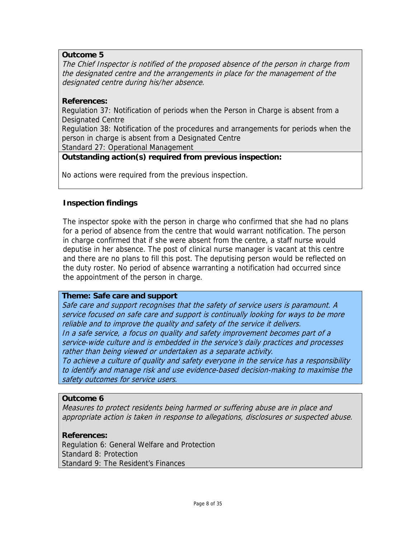## **Outcome 5**

The Chief Inspector is notified of the proposed absence of the person in charge from the designated centre and the arrangements in place for the management of the designated centre during his/her absence.

## **References:**

Regulation 37: Notification of periods when the Person in Charge is absent from a Designated Centre

Regulation 38: Notification of the procedures and arrangements for periods when the person in charge is absent from a Designated Centre

Standard 27: Operational Management

## **Outstanding action(s) required from previous inspection:**

No actions were required from the previous inspection.

## **Inspection findings**

The inspector spoke with the person in charge who confirmed that she had no plans for a period of absence from the centre that would warrant notification. The person in charge confirmed that if she were absent from the centre, a staff nurse would deputise in her absence. The post of clinical nurse manager is vacant at this centre and there are no plans to fill this post. The deputising person would be reflected on the duty roster. No period of absence warranting a notification had occurred since the appointment of the person in charge.

## **Theme: Safe care and support**

Safe care and support recognises that the safety of service users is paramount. A service focused on safe care and support is continually looking for ways to be more reliable and to improve the quality and safety of the service it delivers. In a safe service, a focus on quality and safety improvement becomes part of a service-wide culture and is embedded in the service's daily practices and processes rather than being viewed or undertaken as a separate activity. To achieve a culture of quality and safety everyone in the service has a responsibility to identify and manage risk and use evidence-based decision-making to maximise the safety outcomes for service users.

## **Outcome 6**

Measures to protect residents being harmed or suffering abuse are in place and appropriate action is taken in response to allegations, disclosures or suspected abuse.

## **References:**

Regulation 6: General Welfare and Protection Standard 8: Protection Standard 9: The Resident's Finances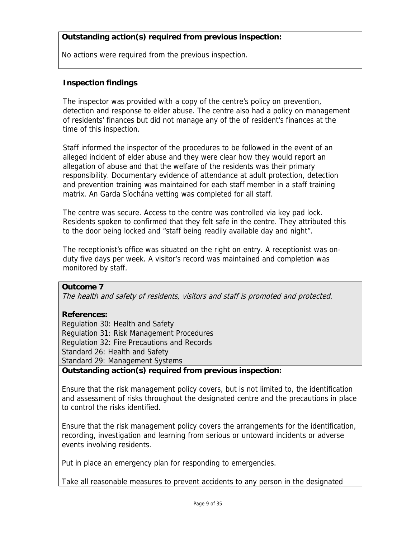## **Outstanding action(s) required from previous inspection:**

No actions were required from the previous inspection.

## **Inspection findings**

The inspector was provided with a copy of the centre's policy on prevention, detection and response to elder abuse. The centre also had a policy on management of residents' finances but did not manage any of the of resident's finances at the time of this inspection.

Staff informed the inspector of the procedures to be followed in the event of an alleged incident of elder abuse and they were clear how they would report an allegation of abuse and that the welfare of the residents was their primary responsibility. Documentary evidence of attendance at adult protection, detection and prevention training was maintained for each staff member in a staff training matrix. An Garda Síochána vetting was completed for all staff.

The centre was secure. Access to the centre was controlled via key pad lock. Residents spoken to confirmed that they felt safe in the centre. They attributed this to the door being locked and "staff being readily available day and night".

The receptionist's office was situated on the right on entry. A receptionist was onduty five days per week. A visitor's record was maintained and completion was monitored by staff.

## **Outcome 7**

The health and safety of residents, visitors and staff is promoted and protected.

#### **References:**

Regulation 30: Health and Safety Regulation 31: Risk Management Procedures Regulation 32: Fire Precautions and Records Standard 26: Health and Safety Standard 29: Management Systems

## **Outstanding action(s) required from previous inspection:**

Ensure that the risk management policy covers, but is not limited to, the identification and assessment of risks throughout the designated centre and the precautions in place to control the risks identified.

Ensure that the risk management policy covers the arrangements for the identification, recording, investigation and learning from serious or untoward incidents or adverse events involving residents.

Put in place an emergency plan for responding to emergencies.

Take all reasonable measures to prevent accidents to any person in the designated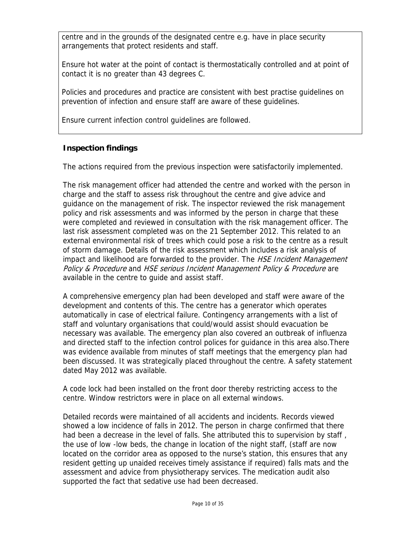centre and in the grounds of the designated centre e.g. have in place security arrangements that protect residents and staff.

Ensure hot water at the point of contact is thermostatically controlled and at point of contact it is no greater than 43 degrees C.

Policies and procedures and practice are consistent with best practise guidelines on prevention of infection and ensure staff are aware of these guidelines.

Ensure current infection control guidelines are followed.

## **Inspection findings**

The actions required from the previous inspection were satisfactorily implemented.

The risk management officer had attended the centre and worked with the person in charge and the staff to assess risk throughout the centre and give advice and guidance on the management of risk. The inspector reviewed the risk management policy and risk assessments and was informed by the person in charge that these were completed and reviewed in consultation with the risk management officer. The last risk assessment completed was on the 21 September 2012. This related to an external environmental risk of trees which could pose a risk to the centre as a result of storm damage. Details of the risk assessment which includes a risk analysis of impact and likelihood are forwarded to the provider. The HSE Incident Management Policy & Procedure and HSE serious Incident Management Policy & Procedure are available in the centre to guide and assist staff.

A comprehensive emergency plan had been developed and staff were aware of the development and contents of this. The centre has a generator which operates automatically in case of electrical failure. Contingency arrangements with a list of staff and voluntary organisations that could/would assist should evacuation be necessary was available. The emergency plan also covered an outbreak of influenza and directed staff to the infection control polices for guidance in this area also.There was evidence available from minutes of staff meetings that the emergency plan had been discussed. It was strategically placed throughout the centre. A safety statement dated May 2012 was available.

A code lock had been installed on the front door thereby restricting access to the centre. Window restrictors were in place on all external windows.

Detailed records were maintained of all accidents and incidents. Records viewed showed a low incidence of falls in 2012. The person in charge confirmed that there had been a decrease in the level of falls. She attributed this to supervision by staff, the use of low -low beds, the change in location of the night staff, (staff are now located on the corridor area as opposed to the nurse's station, this ensures that any resident getting up unaided receives timely assistance if required) falls mats and the assessment and advice from physiotherapy services. The medication audit also supported the fact that sedative use had been decreased.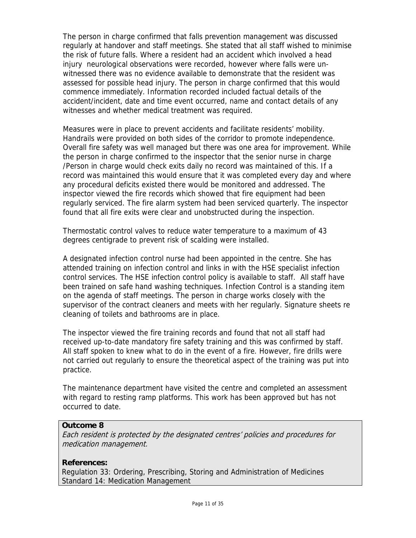The person in charge confirmed that falls prevention management was discussed regularly at handover and staff meetings. She stated that all staff wished to minimise the risk of future falls. Where a resident had an accident which involved a head injury neurological observations were recorded, however where falls were unwitnessed there was no evidence available to demonstrate that the resident was assessed for possible head injury. The person in charge confirmed that this would commence immediately. Information recorded included factual details of the accident/incident, date and time event occurred, name and contact details of any witnesses and whether medical treatment was required.

Measures were in place to prevent accidents and facilitate residents' mobility. Handrails were provided on both sides of the corridor to promote independence. Overall fire safety was well managed but there was one area for improvement. While the person in charge confirmed to the inspector that the senior nurse in charge /Person in charge would check exits daily no record was maintained of this. If a record was maintained this would ensure that it was completed every day and where any procedural deficits existed there would be monitored and addressed. The inspector viewed the fire records which showed that fire equipment had been regularly serviced. The fire alarm system had been serviced quarterly. The inspector found that all fire exits were clear and unobstructed during the inspection.

Thermostatic control valves to reduce water temperature to a maximum of 43 degrees centigrade to prevent risk of scalding were installed.

A designated infection control nurse had been appointed in the centre. She has attended training on infection control and links in with the HSE specialist infection control services. The HSE infection control policy is available to staff. All staff have been trained on safe hand washing techniques. Infection Control is a standing item on the agenda of staff meetings. The person in charge works closely with the supervisor of the contract cleaners and meets with her regularly. Signature sheets re cleaning of toilets and bathrooms are in place.

The inspector viewed the fire training records and found that not all staff had received up-to-date mandatory fire safety training and this was confirmed by staff. All staff spoken to knew what to do in the event of a fire. However, fire drills were not carried out regularly to ensure the theoretical aspect of the training was put into practice.

The maintenance department have visited the centre and completed an assessment with regard to resting ramp platforms. This work has been approved but has not occurred to date.

#### **Outcome 8**

Each resident is protected by the designated centres' policies and procedures for medication management.

#### **References:**

Regulation 33: Ordering, Prescribing, Storing and Administration of Medicines Standard 14: Medication Management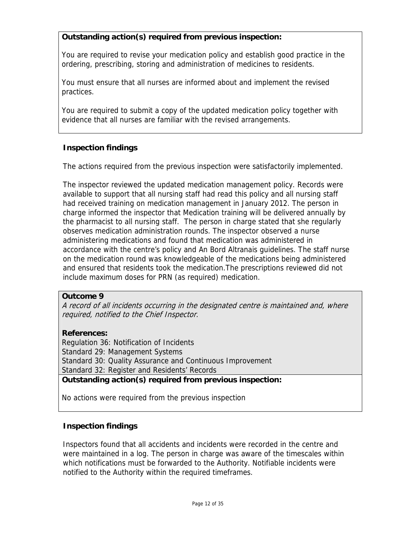## **Outstanding action(s) required from previous inspection:**

You are required to revise your medication policy and establish good practice in the ordering, prescribing, storing and administration of medicines to residents.

You must ensure that all nurses are informed about and implement the revised practices.

You are required to submit a copy of the updated medication policy together with evidence that all nurses are familiar with the revised arrangements.

## **Inspection findings**

The actions required from the previous inspection were satisfactorily implemented.

The inspector reviewed the updated medication management policy. Records were available to support that all nursing staff had read this policy and all nursing staff had received training on medication management in January 2012. The person in charge informed the inspector that Medication training will be delivered annually by the pharmacist to all nursing staff. The person in charge stated that she regularly observes medication administration rounds. The inspector observed a nurse administering medications and found that medication was administered in accordance with the centre's policy and An Bord Altranais guidelines. The staff nurse on the medication round was knowledgeable of the medications being administered and ensured that residents took the medication.The prescriptions reviewed did not include maximum doses for PRN (as required) medication.

## **Outcome 9**

A record of all incidents occurring in the designated centre is maintained and, where required, notified to the Chief Inspector.

## **References:**

Regulation 36: Notification of Incidents Standard 29: Management Systems Standard 30: Quality Assurance and Continuous Improvement Standard 32: Register and Residents' Records **Outstanding action(s) required from previous inspection:**

No actions were required from the previous inspection

## **Inspection findings**

Inspectors found that all accidents and incidents were recorded in the centre and were maintained in a log. The person in charge was aware of the timescales within which notifications must be forwarded to the Authority. Notifiable incidents were notified to the Authority within the required timeframes.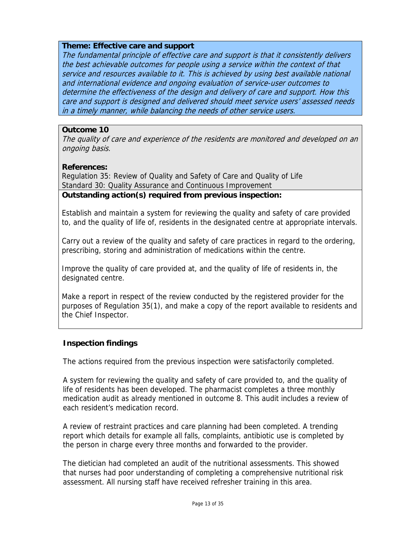## **Theme: Effective care and support**

The fundamental principle of effective care and support is that it consistently delivers the best achievable outcomes for people using a service within the context of that service and resources available to it. This is achieved by using best available national and international evidence and ongoing evaluation of service-user outcomes to determine the effectiveness of the design and delivery of care and support. How this care and support is designed and delivered should meet service users' assessed needs in a timely manner, while balancing the needs of other service users.

## **Outcome 10**

The quality of care and experience of the residents are monitored and developed on an ongoing basis.

## **References:**

Regulation 35: Review of Quality and Safety of Care and Quality of Life Standard 30: Quality Assurance and Continuous Improvement

**Outstanding action(s) required from previous inspection:**

Establish and maintain a system for reviewing the quality and safety of care provided to, and the quality of life of, residents in the designated centre at appropriate intervals.

Carry out a review of the quality and safety of care practices in regard to the ordering, prescribing, storing and administration of medications within the centre.

Improve the quality of care provided at, and the quality of life of residents in, the designated centre.

Make a report in respect of the review conducted by the registered provider for the purposes of Regulation 35(1), and make a copy of the report available to residents and the Chief Inspector.

## **Inspection findings**

The actions required from the previous inspection were satisfactorily completed.

A system for reviewing the quality and safety of care provided to, and the quality of life of residents has been developed. The pharmacist completes a three monthly medication audit as already mentioned in outcome 8. This audit includes a review of each resident's medication record.

A review of restraint practices and care planning had been completed. A trending report which details for example all falls, complaints, antibiotic use is completed by the person in charge every three months and forwarded to the provider.

The dietician had completed an audit of the nutritional assessments. This showed that nurses had poor understanding of completing a comprehensive nutritional risk assessment. All nursing staff have received refresher training in this area.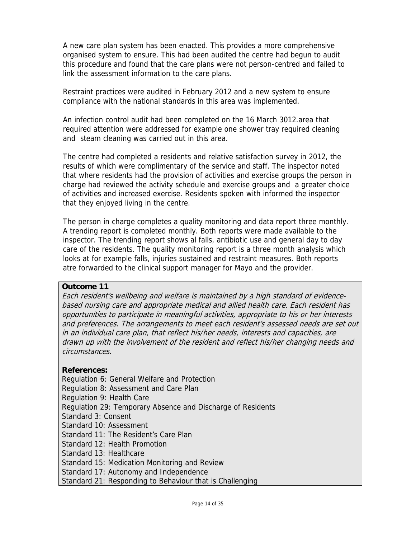A new care plan system has been enacted. This provides a more comprehensive organised system to ensure. This had been audited the centre had begun to audit this procedure and found that the care plans were not person-centred and failed to link the assessment information to the care plans.

Restraint practices were audited in February 2012 and a new system to ensure compliance with the national standards in this area was implemented.

An infection control audit had been completed on the 16 March 3012.area that required attention were addressed for example one shower tray required cleaning and steam cleaning was carried out in this area.

The centre had completed a residents and relative satisfaction survey in 2012, the results of which were complimentary of the service and staff. The inspector noted that where residents had the provision of activities and exercise groups the person in charge had reviewed the activity schedule and exercise groups and a greater choice of activities and increased exercise. Residents spoken with informed the inspector that they enjoyed living in the centre.

The person in charge completes a quality monitoring and data report three monthly. A trending report is completed monthly. Both reports were made available to the inspector. The trending report shows al falls, antibiotic use and general day to day care of the residents. The quality monitoring report is a three month analysis which looks at for example falls, injuries sustained and restraint measures. Both reports atre forwarded to the clinical support manager for Mayo and the provider.

## **Outcome 11**

Each resident's wellbeing and welfare is maintained by a high standard of evidencebased nursing care and appropriate medical and allied health care. Each resident has opportunities to participate in meaningful activities, appropriate to his or her interests and preferences. The arrangements to meet each resident's assessed needs are set out in an individual care plan, that reflect his/her needs, interests and capacities, are drawn up with the involvement of the resident and reflect his/her changing needs and circumstances.

## **References:**

Regulation 6: General Welfare and Protection Regulation 8: Assessment and Care Plan Regulation 9: Health Care Regulation 29: Temporary Absence and Discharge of Residents Standard 3: Consent Standard 10: Assessment Standard 11: The Resident's Care Plan Standard 12: Health Promotion Standard 13: Healthcare Standard 15: Medication Monitoring and Review Standard 17: Autonomy and Independence Standard 21: Responding to Behaviour that is Challenging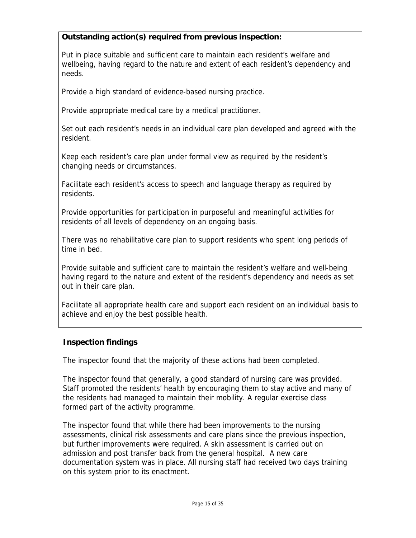## **Outstanding action(s) required from previous inspection:**

Put in place suitable and sufficient care to maintain each resident's welfare and wellbeing, having regard to the nature and extent of each resident's dependency and needs.

Provide a high standard of evidence-based nursing practice.

Provide appropriate medical care by a medical practitioner.

Set out each resident's needs in an individual care plan developed and agreed with the resident.

Keep each resident's care plan under formal view as required by the resident's changing needs or circumstances.

Facilitate each resident's access to speech and language therapy as required by residents.

Provide opportunities for participation in purposeful and meaningful activities for residents of all levels of dependency on an ongoing basis.

There was no rehabilitative care plan to support residents who spent long periods of time in bed.

Provide suitable and sufficient care to maintain the resident's welfare and well-being having regard to the nature and extent of the resident's dependency and needs as set out in their care plan.

Facilitate all appropriate health care and support each resident on an individual basis to achieve and enjoy the best possible health.

## **Inspection findings**

The inspector found that the majority of these actions had been completed.

The inspector found that generally, a good standard of nursing care was provided. Staff promoted the residents' health by encouraging them to stay active and many of the residents had managed to maintain their mobility. A regular exercise class formed part of the activity programme.

The inspector found that while there had been improvements to the nursing assessments, clinical risk assessments and care plans since the previous inspection, but further improvements were required. A skin assessment is carried out on admission and post transfer back from the general hospital. A new care documentation system was in place. All nursing staff had received two days training on this system prior to its enactment.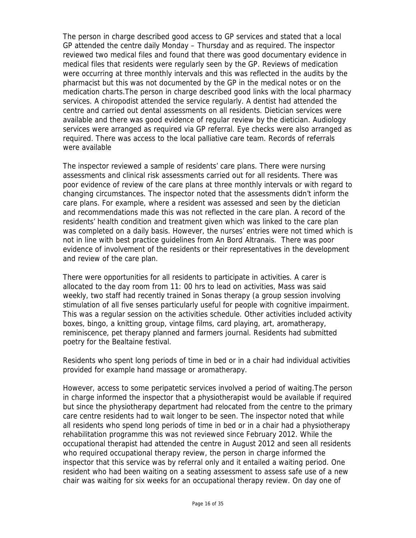The person in charge described good access to GP services and stated that a local GP attended the centre daily Monday – Thursday and as required. The inspector reviewed two medical files and found that there was good documentary evidence in medical files that residents were regularly seen by the GP. Reviews of medication were occurring at three monthly intervals and this was reflected in the audits by the pharmacist but this was not documented by the GP in the medical notes or on the medication charts.The person in charge described good links with the local pharmacy services. A chiropodist attended the service regularly. A dentist had attended the centre and carried out dental assessments on all residents. Dietician services were available and there was good evidence of regular review by the dietician. Audiology services were arranged as required via GP referral. Eye checks were also arranged as required. There was access to the local palliative care team. Records of referrals were available

The inspector reviewed a sample of residents' care plans. There were nursing assessments and clinical risk assessments carried out for all residents. There was poor evidence of review of the care plans at three monthly intervals or with regard to changing circumstances. The inspector noted that the assessments didn't inform the care plans. For example, where a resident was assessed and seen by the dietician and recommendations made this was not reflected in the care plan. A record of the residents' health condition and treatment given which was linked to the care plan was completed on a daily basis. However, the nurses' entries were not timed which is not in line with best practice guidelines from An Bord Altranais. There was poor evidence of involvement of the residents or their representatives in the development and review of the care plan.

There were opportunities for all residents to participate in activities. A carer is allocated to the day room from 11: 00 hrs to lead on activities, Mass was said weekly, two staff had recently trained in Sonas therapy (a group session involving stimulation of all five senses particularly useful for people with cognitive impairment. This was a regular session on the activities schedule. Other activities included activity boxes, bingo, a knitting group, vintage films, card playing, art, aromatherapy, reminiscence, pet therapy planned and farmers journal. Residents had submitted poetry for the Bealtaine festival.

Residents who spent long periods of time in bed or in a chair had individual activities provided for example hand massage or aromatherapy.

However, access to some peripatetic services involved a period of waiting.The person in charge informed the inspector that a physiotherapist would be available if required but since the physiotherapy department had relocated from the centre to the primary care centre residents had to wait longer to be seen. The inspector noted that while all residents who spend long periods of time in bed or in a chair had a physiotherapy rehabilitation programme this was not reviewed since February 2012. While the occupational therapist had attended the centre in August 2012 and seen all residents who required occupational therapy review, the person in charge informed the inspector that this service was by referral only and it entailed a waiting period. One resident who had been waiting on a seating assessment to assess safe use of a new chair was waiting for six weeks for an occupational therapy review. On day one of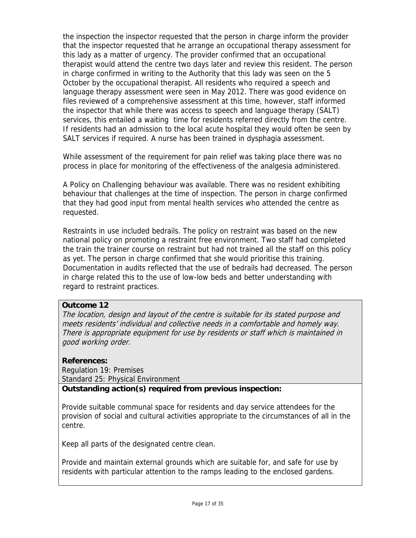the inspection the inspector requested that the person in charge inform the provider that the inspector requested that he arrange an occupational therapy assessment for this lady as a matter of urgency. The provider confirmed that an occupational therapist would attend the centre two days later and review this resident. The person in charge confirmed in writing to the Authority that this lady was seen on the 5 October by the occupational therapist. All residents who required a speech and language therapy assessment were seen in May 2012. There was good evidence on files reviewed of a comprehensive assessment at this time, however, staff informed the inspector that while there was access to speech and language therapy (SALT) services, this entailed a waiting time for residents referred directly from the centre. If residents had an admission to the local acute hospital they would often be seen by SALT services if required. A nurse has been trained in dysphagia assessment.

While assessment of the requirement for pain relief was taking place there was no process in place for monitoring of the effectiveness of the analgesia administered.

A Policy on Challenging behaviour was available. There was no resident exhibiting behaviour that challenges at the time of inspection. The person in charge confirmed that they had good input from mental health services who attended the centre as requested.

Restraints in use included bedrails. The policy on restraint was based on the new national policy on promoting a restraint free environment. Two staff had completed the train the trainer course on restraint but had not trained all the staff on this policy as yet. The person in charge confirmed that she would prioritise this training. Documentation in audits reflected that the use of bedrails had decreased. The person in charge related this to the use of low-low beds and better understanding with regard to restraint practices.

## **Outcome 12**

The location, design and layout of the centre is suitable for its stated purpose and meets residents' individual and collective needs in a comfortable and homely way. There is appropriate equipment for use by residents or staff which is maintained in good working order.

## **References:**

Regulation 19: Premises Standard 25: Physical Environment

## **Outstanding action(s) required from previous inspection:**

Provide suitable communal space for residents and day service attendees for the provision of social and cultural activities appropriate to the circumstances of all in the centre.

Keep all parts of the designated centre clean.

Provide and maintain external grounds which are suitable for, and safe for use by residents with particular attention to the ramps leading to the enclosed gardens.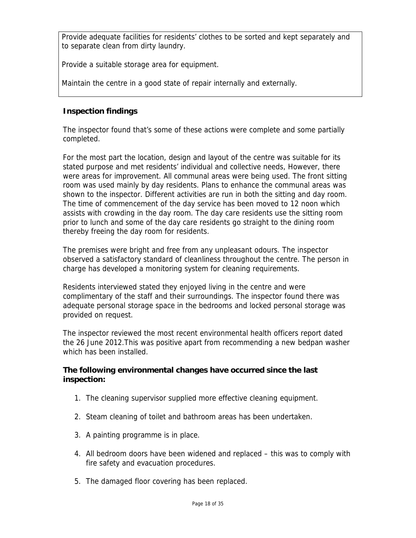Provide adequate facilities for residents' clothes to be sorted and kept separately and to separate clean from dirty laundry.

Provide a suitable storage area for equipment.

Maintain the centre in a good state of repair internally and externally.

## **Inspection findings**

The inspector found that's some of these actions were complete and some partially completed.

For the most part the location, design and layout of the centre was suitable for its stated purpose and met residents' individual and collective needs, However, there were areas for improvement. All communal areas were being used. The front sitting room was used mainly by day residents. Plans to enhance the communal areas was shown to the inspector. Different activities are run in both the sitting and day room. The time of commencement of the day service has been moved to 12 noon which assists with crowding in the day room. The day care residents use the sitting room prior to lunch and some of the day care residents go straight to the dining room thereby freeing the day room for residents.

The premises were bright and free from any unpleasant odours. The inspector observed a satisfactory standard of cleanliness throughout the centre. The person in charge has developed a monitoring system for cleaning requirements.

Residents interviewed stated they enjoyed living in the centre and were complimentary of the staff and their surroundings. The inspector found there was adequate personal storage space in the bedrooms and locked personal storage was provided on request.

The inspector reviewed the most recent environmental health officers report dated the 26 June 2012.This was positive apart from recommending a new bedpan washer which has been installed.

## **The following environmental changes have occurred since the last inspection:**

- 1. The cleaning supervisor supplied more effective cleaning equipment.
- 2. Steam cleaning of toilet and bathroom areas has been undertaken.
- 3. A painting programme is in place.
- 4. All bedroom doors have been widened and replaced this was to comply with fire safety and evacuation procedures.
- 5. The damaged floor covering has been replaced.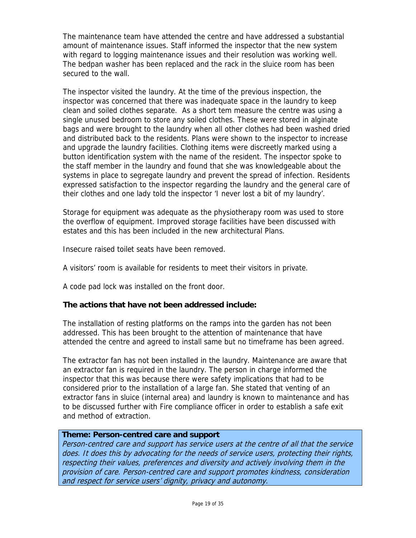The maintenance team have attended the centre and have addressed a substantial amount of maintenance issues. Staff informed the inspector that the new system with regard to logging maintenance issues and their resolution was working well. The bedpan washer has been replaced and the rack in the sluice room has been secured to the wall.

The inspector visited the laundry. At the time of the previous inspection, the inspector was concerned that there was inadequate space in the laundry to keep clean and soiled clothes separate. As a short tem measure the centre was using a single unused bedroom to store any soiled clothes. These were stored in alginate bags and were brought to the laundry when all other clothes had been washed dried and distributed back to the residents. Plans were shown to the inspector to increase and upgrade the laundry facilities. Clothing items were discreetly marked using a button identification system with the name of the resident. The inspector spoke to the staff member in the laundry and found that she was knowledgeable about the systems in place to segregate laundry and prevent the spread of infection. Residents expressed satisfaction to the inspector regarding the laundry and the general care of their clothes and one lady told the inspector 'I never lost a bit of my laundry'.

Storage for equipment was adequate as the physiotherapy room was used to store the overflow of equipment. Improved storage facilities have been discussed with estates and this has been included in the new architectural Plans.

Insecure raised toilet seats have been removed.

A visitors' room is available for residents to meet their visitors in private.

A code pad lock was installed on the front door.

## **The actions that have not been addressed include:**

The installation of resting platforms on the ramps into the garden has not been addressed. This has been brought to the attention of maintenance that have attended the centre and agreed to install same but no timeframe has been agreed.

The extractor fan has not been installed in the laundry. Maintenance are aware that an extractor fan is required in the laundry. The person in charge informed the inspector that this was because there were safety implications that had to be considered prior to the installation of a large fan. She stated that venting of an extractor fans in sluice (internal area) and laundry is known to maintenance and has to be discussed further with Fire compliance officer in order to establish a safe exit and method of extraction.

#### **Theme: Person-centred care and support**

Person-centred care and support has service users at the centre of all that the service does. It does this by advocating for the needs of service users, protecting their rights, respecting their values, preferences and diversity and actively involving them in the provision of care. Person-centred care and support promotes kindness, consideration and respect for service users' dignity, privacy and autonomy.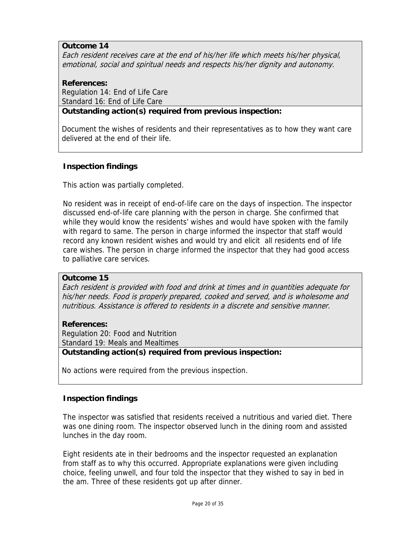## **Outcome 14**

Each resident receives care at the end of his/her life which meets his/her physical, emotional, social and spiritual needs and respects his/her dignity and autonomy.

# **References:**

Regulation 14: End of Life Care Standard 16: End of Life Care

**Outstanding action(s) required from previous inspection:**

Document the wishes of residents and their representatives as to how they want care delivered at the end of their life.

## **Inspection findings**

This action was partially completed.

No resident was in receipt of end-of-life care on the days of inspection. The inspector discussed end-of-life care planning with the person in charge. She confirmed that while they would know the residents' wishes and would have spoken with the family with regard to same. The person in charge informed the inspector that staff would record any known resident wishes and would try and elicit all residents end of life care wishes. The person in charge informed the inspector that they had good access to palliative care services.

## **Outcome 15**

Each resident is provided with food and drink at times and in quantities adequate for his/her needs. Food is properly prepared, cooked and served, and is wholesome and nutritious. Assistance is offered to residents in a discrete and sensitive manner.

## **References:**

Regulation 20: Food and Nutrition Standard 19: Meals and Mealtimes

#### **Outstanding action(s) required from previous inspection:**

No actions were required from the previous inspection.

## **Inspection findings**

The inspector was satisfied that residents received a nutritious and varied diet. There was one dining room. The inspector observed lunch in the dining room and assisted lunches in the day room.

Eight residents ate in their bedrooms and the inspector requested an explanation from staff as to why this occurred. Appropriate explanations were given including choice, feeling unwell, and four told the inspector that they wished to say in bed in the am. Three of these residents got up after dinner.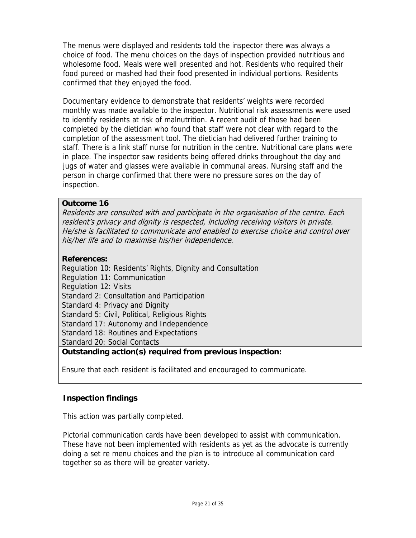The menus were displayed and residents told the inspector there was always a choice of food. The menu choices on the days of inspection provided nutritious and wholesome food. Meals were well presented and hot. Residents who required their food pureed or mashed had their food presented in individual portions. Residents confirmed that they enjoyed the food.

Documentary evidence to demonstrate that residents' weights were recorded monthly was made available to the inspector. Nutritional risk assessments were used to identify residents at risk of malnutrition. A recent audit of those had been completed by the dietician who found that staff were not clear with regard to the completion of the assessment tool. The dietician had delivered further training to staff. There is a link staff nurse for nutrition in the centre. Nutritional care plans were in place. The inspector saw residents being offered drinks throughout the day and jugs of water and glasses were available in communal areas. Nursing staff and the person in charge confirmed that there were no pressure sores on the day of inspection.

## **Outcome 16**

Residents are consulted with and participate in the organisation of the centre. Each resident's privacy and dignity is respected, including receiving visitors in private. He/she is facilitated to communicate and enabled to exercise choice and control over his/her life and to maximise his/her independence.

## **References:**

Regulation 10: Residents' Rights, Dignity and Consultation Regulation 11: Communication Regulation 12: Visits Standard 2: Consultation and Participation Standard 4: Privacy and Dignity Standard 5: Civil, Political, Religious Rights Standard 17: Autonomy and Independence Standard 18: Routines and Expectations Standard 20: Social Contacts **Outstanding action(s) required from previous inspection:**

Ensure that each resident is facilitated and encouraged to communicate.

## **Inspection findings**

This action was partially completed.

Pictorial communication cards have been developed to assist with communication. These have not been implemented with residents as yet as the advocate is currently doing a set re menu choices and the plan is to introduce all communication card together so as there will be greater variety.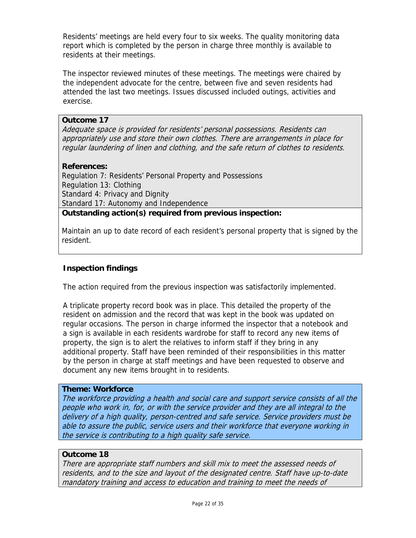Residents' meetings are held every four to six weeks. The quality monitoring data report which is completed by the person in charge three monthly is available to residents at their meetings.

The inspector reviewed minutes of these meetings. The meetings were chaired by the independent advocate for the centre, between five and seven residents had attended the last two meetings. Issues discussed included outings, activities and exercise.

#### **Outcome 17**

Adequate space is provided for residents' personal possessions. Residents can appropriately use and store their own clothes. There are arrangements in place for regular laundering of linen and clothing, and the safe return of clothes to residents.

#### **References:**

Regulation 7: Residents' Personal Property and Possessions Regulation 13: Clothing Standard 4: Privacy and Dignity Standard 17: Autonomy and Independence **Outstanding action(s) required from previous inspection:**

Maintain an up to date record of each resident's personal property that is signed by the resident.

#### **Inspection findings**

The action required from the previous inspection was satisfactorily implemented.

A triplicate property record book was in place. This detailed the property of the resident on admission and the record that was kept in the book was updated on regular occasions. The person in charge informed the inspector that a notebook and a sign is available in each residents wardrobe for staff to record any new items of property, the sign is to alert the relatives to inform staff if they bring in any additional property. Staff have been reminded of their responsibilities in this matter by the person in charge at staff meetings and have been requested to observe and document any new items brought in to residents.

## **Theme: Workforce**

The workforce providing a health and social care and support service consists of all the people who work in, for, or with the service provider and they are all integral to the delivery of a high quality, person-centred and safe service. Service providers must be able to assure the public, service users and their workforce that everyone working in the service is contributing to a high quality safe service.

#### **Outcome 18**

There are appropriate staff numbers and skill mix to meet the assessed needs of residents, and to the size and layout of the designated centre. Staff have up-to-date mandatory training and access to education and training to meet the needs of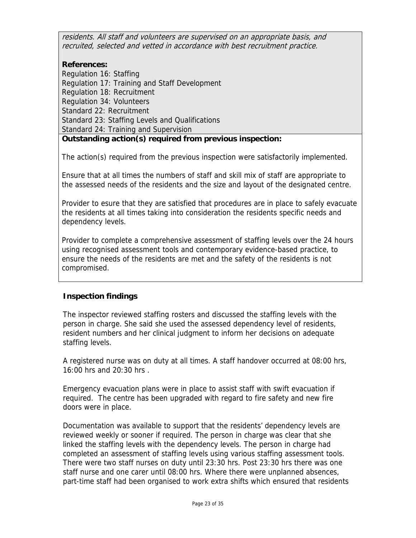residents. All staff and volunteers are supervised on an appropriate basis, and recruited, selected and vetted in accordance with best recruitment practice.

## **References:**

Regulation 16: Staffing Regulation 17: Training and Staff Development Regulation 18: Recruitment Regulation 34: Volunteers Standard 22: Recruitment Standard 23: Staffing Levels and Qualifications Standard 24: Training and Supervision **Outstanding action(s) required from previous inspection:**

The action(s) required from the previous inspection were satisfactorily implemented.

Ensure that at all times the numbers of staff and skill mix of staff are appropriate to the assessed needs of the residents and the size and layout of the designated centre.

Provider to esure that they are satisfied that procedures are in place to safely evacuate the residents at all times taking into consideration the residents specific needs and dependency levels.

Provider to complete a comprehensive assessment of staffing levels over the 24 hours using recognised assessment tools and contemporary evidence-based practice, to ensure the needs of the residents are met and the safety of the residents is not compromised.

## **Inspection findings**

The inspector reviewed staffing rosters and discussed the staffing levels with the person in charge. She said she used the assessed dependency level of residents, resident numbers and her clinical judgment to inform her decisions on adequate staffing levels.

A registered nurse was on duty at all times. A staff handover occurred at 08:00 hrs, 16:00 hrs and 20:30 hrs .

Emergency evacuation plans were in place to assist staff with swift evacuation if required. The centre has been upgraded with regard to fire safety and new fire doors were in place.

Documentation was available to support that the residents' dependency levels are reviewed weekly or sooner if required. The person in charge was clear that she linked the staffing levels with the dependency levels. The person in charge had completed an assessment of staffing levels using various staffing assessment tools. There were two staff nurses on duty until 23:30 hrs. Post 23:30 hrs there was one staff nurse and one carer until 08:00 hrs. Where there were unplanned absences, part-time staff had been organised to work extra shifts which ensured that residents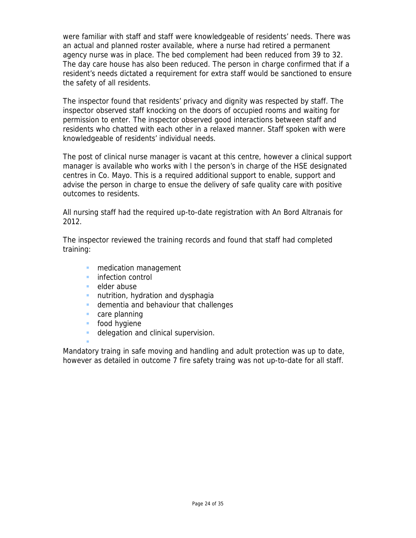were familiar with staff and staff were knowledgeable of residents' needs. There was an actual and planned roster available, where a nurse had retired a permanent agency nurse was in place. The bed complement had been reduced from 39 to 32. The day care house has also been reduced. The person in charge confirmed that if a resident's needs dictated a requirement for extra staff would be sanctioned to ensure the safety of all residents.

The inspector found that residents' privacy and dignity was respected by staff. The inspector observed staff knocking on the doors of occupied rooms and waiting for permission to enter. The inspector observed good interactions between staff and residents who chatted with each other in a relaxed manner. Staff spoken with were knowledgeable of residents' individual needs.

The post of clinical nurse manager is vacant at this centre, however a clinical support manager is available who works with l the person's in charge of the HSE designated centres in Co. Mayo. This is a required additional support to enable, support and advise the person in charge to ensue the delivery of safe quality care with positive outcomes to residents.

All nursing staff had the required up-to-date registration with An Bord Altranais for 2012.

The inspector reviewed the training records and found that staff had completed training:

- medication management
- **infection control**
- elder abuse
- **nutrition, hydration and dysphagia**
- **dementia and behaviour that challenges**
- **care planning**
- **food hygiene**

F

delegation and clinical supervision.

Mandatory traing in safe moving and handling and adult protection was up to date, however as detailed in outcome 7 fire safety traing was not up-to-date for all staff.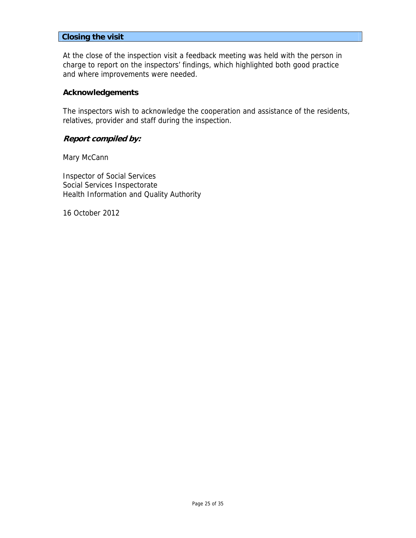#### **Closing the visit**

At the close of the inspection visit a feedback meeting was held with the person in charge to report on the inspectors' findings, which highlighted both good practice and where improvements were needed.

#### **Acknowledgements**

The inspectors wish to acknowledge the cooperation and assistance of the residents, relatives, provider and staff during the inspection.

## **Report compiled by:**

Mary McCann

Inspector of Social Services Social Services Inspectorate Health Information and Quality Authority

16 October 2012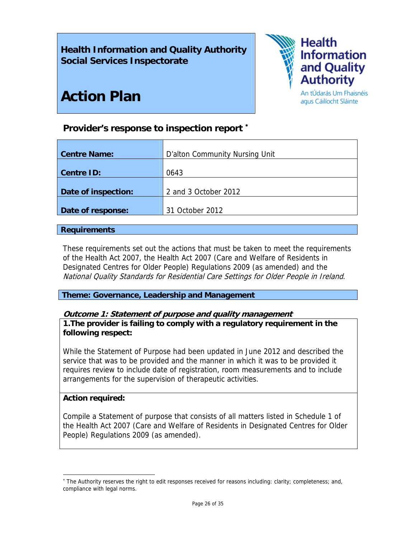# **Health Information and Quality Authority Social Services Inspectorate**



agus Cáilíocht Sláinte

# **Action Plan**

# **Provider's response to inspection report** <sup>∗</sup>

| <b>Centre Name:</b> | D'alton Community Nursing Unit |
|---------------------|--------------------------------|
|                     |                                |
| <b>Centre ID:</b>   | 0643                           |
|                     |                                |
| Date of inspection: | 2 and 3 October 2012           |
|                     |                                |
| Date of response:   | 31 October 2012                |
|                     |                                |

## **Requirements**

These requirements set out the actions that must be taken to meet the requirements of the Health Act 2007, the Health Act 2007 (Care and Welfare of Residents in Designated Centres for Older People) Regulations 2009 (as amended) and the National Quality Standards for Residential Care Settings for Older People in Ireland.

**Theme: Governance, Leadership and Management** 

## **Outcome 1: Statement of purpose and quality management**

**1.The provider is failing to comply with a regulatory requirement in the following respect:**

While the Statement of Purpose had been updated in June 2012 and described the service that was to be provided and the manner in which it was to be provided it requires review to include date of registration, room measurements and to include arrangements for the supervision of therapeutic activities.

## **Action required:**

 $\overline{\phantom{a}}$ 

Compile a Statement of purpose that consists of all matters listed in Schedule 1 of the Health Act 2007 (Care and Welfare of Residents in Designated Centres for Older People) Regulations 2009 (as amended).

<sup>∗</sup> The Authority reserves the right to edit responses received for reasons including: clarity; completeness; and, compliance with legal norms.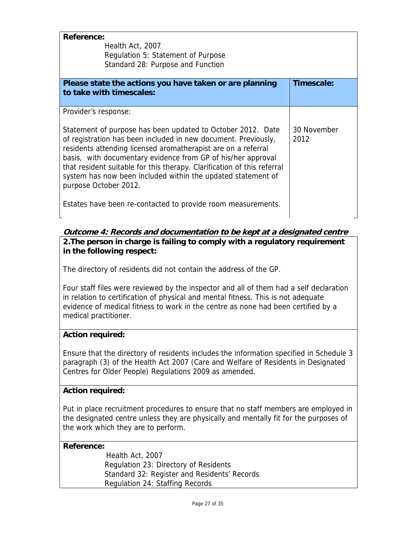| <b>Reference:</b><br>Health Act, 2007<br>Regulation 5: Statement of Purpose<br>Standard 28: Purpose and Function                                                                                                                                                                                                                                                                                                                                                                                                           |                     |
|----------------------------------------------------------------------------------------------------------------------------------------------------------------------------------------------------------------------------------------------------------------------------------------------------------------------------------------------------------------------------------------------------------------------------------------------------------------------------------------------------------------------------|---------------------|
| Please state the actions you have taken or are planning<br>to take with timescales:                                                                                                                                                                                                                                                                                                                                                                                                                                        | Timescale:          |
| Provider's response:<br>Statement of purpose has been updated to October 2012. Date<br>of registration has been included in new document. Previously,<br>residents attending licensed aromatherapist are on a referral<br>basis, with documentary evidence from GP of his/her approval<br>that resident suitable for this therapy. Clarification of this referral<br>system has now been included within the updated statement of<br>purpose October 2012.<br>Estates have been re-contacted to provide room measurements. | 30 November<br>2012 |

## **Outcome 4: Records and documentation to be kept at a designated centre 2.The person in charge is failing to comply with a regulatory requirement in the following respect:**

The directory of residents did not contain the address of the GP.

Four staff files were reviewed by the inspector and all of them had a self declaration in relation to certification of physical and mental fitness. This is not adequate evidence of medical fitness to work in the centre as none had been certified by a medical practitioner.

## **Action required:**

Ensure that the directory of residents includes the information specified in Schedule 3 paragraph (3) of the Health Act 2007 (Care and Welfare of Residents in Designated Centres for Older People) Regulations 2009 as amended.

## **Action required:**

Put in place recruitment procedures to ensure that no staff members are employed in the designated centre unless they are physically and mentally fit for the purposes of the work which they are to perform.

## **Reference:**

 Health Act, 2007 Regulation 23: Directory of Residents Standard 32: Register and Residents' Records Regulation 24: Staffing Records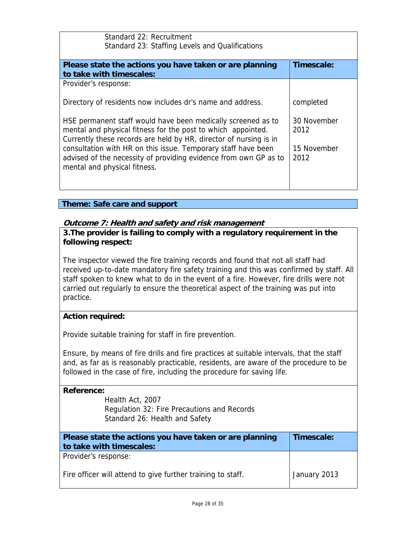| Standard 22: Recruitment<br>Standard 23: Staffing Levels and Qualifications                                                                                                                       |                     |  |
|---------------------------------------------------------------------------------------------------------------------------------------------------------------------------------------------------|---------------------|--|
| Please state the actions you have taken or are planning                                                                                                                                           | Timescale:          |  |
| to take with timescales:                                                                                                                                                                          |                     |  |
| Provider's response:                                                                                                                                                                              |                     |  |
| Directory of residents now includes dr's name and address.                                                                                                                                        | completed           |  |
| HSE permanent staff would have been medically screened as to<br>mental and physical fitness for the post to which appointed.<br>Currently these records are held by HR, director of nursing is in | 30 November<br>2012 |  |
| consultation with HR on this issue. Temporary staff have been<br>advised of the necessity of providing evidence from own GP as to<br>mental and physical fitness.                                 | 15 November<br>2012 |  |

## **Theme: Safe care and support**

## **Outcome 7: Health and safety and risk management**

**3.The provider is failing to comply with a regulatory requirement in the following respect:**

The inspector viewed the fire training records and found that not all staff had received up-to-date mandatory fire safety training and this was confirmed by staff. All staff spoken to knew what to do in the event of a fire. However, fire drills were not carried out regularly to ensure the theoretical aspect of the training was put into practice.

## **Action required:**

Provide suitable training for staff in fire prevention.

Ensure, by means of fire drills and fire practices at suitable intervals, that the staff and, as far as is reasonably practicable, residents, are aware of the procedure to be followed in the case of fire, including the procedure for saving life.

| Reference:<br>Health Act, 2007<br>Regulation 32: Fire Precautions and Records<br>Standard 26: Health and Safety |              |
|-----------------------------------------------------------------------------------------------------------------|--------------|
| Please state the actions you have taken or are planning<br>to take with timescales:                             | Timescale:   |
| Provider's response:                                                                                            |              |
| Fire officer will attend to give further training to staff.                                                     | January 2013 |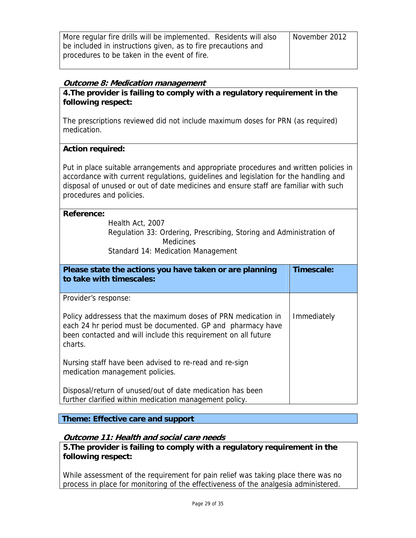| More regular fire drills will be implemented. Residents will also | November 2012 |
|-------------------------------------------------------------------|---------------|
| be included in instructions given, as to fire precautions and     |               |
| procedures to be taken in the event of fire.                      |               |
|                                                                   |               |

## **Outcome 8: Medication management**

**4.The provider is failing to comply with a regulatory requirement in the following respect:**

The prescriptions reviewed did not include maximum doses for PRN (as required) medication.

## **Action required:**

Put in place suitable arrangements and appropriate procedures and written policies in accordance with current regulations, guidelines and legislation for the handling and disposal of unused or out of date medicines and ensure staff are familiar with such procedures and policies.

## **Reference:**

Health Act, 2007 Regulation 33: Ordering, Prescribing, Storing and Administration of Medicines

Standard 14: Medication Management

| Please state the actions you have taken or are planning<br>to take with timescales:                                                                                                                      | Timescale:  |
|----------------------------------------------------------------------------------------------------------------------------------------------------------------------------------------------------------|-------------|
| Provider's response:                                                                                                                                                                                     |             |
| Policy addressess that the maximum doses of PRN medication in<br>each 24 hr period must be documented. GP and pharmacy have<br>been contacted and will include this requirement on all future<br>charts. | Immediately |
| Nursing staff have been advised to re-read and re-sign<br>medication management policies.                                                                                                                |             |
| Disposal/return of unused/out of date medication has been<br>further clarified within medication management policy.                                                                                      |             |

**Theme: Effective care and support** 

## **Outcome 11: Health and social care needs**

**5.The provider is failing to comply with a regulatory requirement in the following respect:**

While assessment of the requirement for pain relief was taking place there was no process in place for monitoring of the effectiveness of the analgesia administered.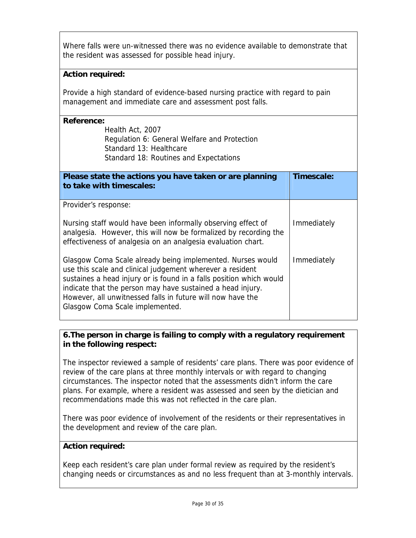Where falls were un-witnessed there was no evidence available to demonstrate that the resident was assessed for possible head injury.

## **Action required:**

Provide a high standard of evidence-based nursing practice with regard to pain management and immediate care and assessment post falls.

| Reference:<br>Health Act, 2007<br>Regulation 6: General Welfare and Protection<br>Standard 13: Healthcare<br>Standard 18: Routines and Expectations                                                                                                                                                                                                           |             |
|---------------------------------------------------------------------------------------------------------------------------------------------------------------------------------------------------------------------------------------------------------------------------------------------------------------------------------------------------------------|-------------|
| Please state the actions you have taken or are planning<br>to take with timescales:                                                                                                                                                                                                                                                                           | Timescale:  |
| Provider's response:                                                                                                                                                                                                                                                                                                                                          |             |
| Nursing staff would have been informally observing effect of<br>analgesia. However, this will now be formalized by recording the<br>effectiveness of analgesia on an analgesia evaluation chart.                                                                                                                                                              | Immediately |
| Glasgow Coma Scale already being implemented. Nurses would<br>use this scale and clinical judgement wherever a resident<br>sustaines a head injury or is found in a falls position which would<br>indicate that the person may have sustained a head injury.<br>However, all unwitnessed falls in future will now have the<br>Glasgow Coma Scale implemented. | Immediately |

## **6.The person in charge is failing to comply with a regulatory requirement in the following respect:**

The inspector reviewed a sample of residents' care plans. There was poor evidence of review of the care plans at three monthly intervals or with regard to changing circumstances. The inspector noted that the assessments didn't inform the care plans. For example, where a resident was assessed and seen by the dietician and recommendations made this was not reflected in the care plan.

There was poor evidence of involvement of the residents or their representatives in the development and review of the care plan.

## **Action required:**

Keep each resident's care plan under formal review as required by the resident's changing needs or circumstances as and no less frequent than at 3-monthly intervals.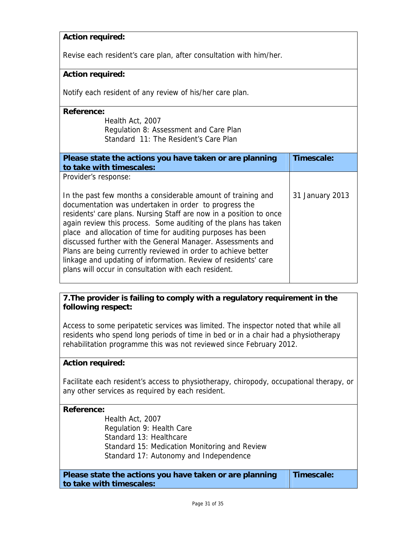## **Action required:**

Revise each resident's care plan, after consultation with him/her.

#### **Action required:**

Notify each resident of any review of his/her care plan.

#### **Reference:**

| Health Act, 2007                       |
|----------------------------------------|
| Regulation 8: Assessment and Care Plan |
| Standard 11: The Resident's Care Plan  |

| Please state the actions you have taken or are planning<br>to take with timescales:                                                                                                                                                                                                                                                                                                                                                                                                                                                                                                     | Timescale:      |
|-----------------------------------------------------------------------------------------------------------------------------------------------------------------------------------------------------------------------------------------------------------------------------------------------------------------------------------------------------------------------------------------------------------------------------------------------------------------------------------------------------------------------------------------------------------------------------------------|-----------------|
| Provider's response:                                                                                                                                                                                                                                                                                                                                                                                                                                                                                                                                                                    |                 |
| In the past few months a considerable amount of training and<br>documentation was undertaken in order to progress the<br>residents' care plans. Nursing Staff are now in a position to once<br>again review this process. Some auditing of the plans has taken<br>place and allocation of time for auditing purposes has been<br>discussed further with the General Manager. Assessments and<br>Plans are being currently reviewed in order to achieve better<br>linkage and updating of information. Review of residents' care<br>plans will occur in consultation with each resident. | 31 January 2013 |

## **7.The provider is failing to comply with a regulatory requirement in the following respect:**

Access to some peripatetic services was limited. The inspector noted that while all residents who spend long periods of time in bed or in a chair had a physiotherapy rehabilitation programme this was not reviewed since February 2012.

## **Action required:**

Facilitate each resident's access to physiotherapy, chiropody, occupational therapy, or any other services as required by each resident.

#### **Reference:**

Health Act, 2007 Regulation 9: Health Care Standard 13: Healthcare Standard 15: Medication Monitoring and Review Standard 17: Autonomy and Independence

**Please state the actions you have taken or are planning to take with timescales: Timescale:**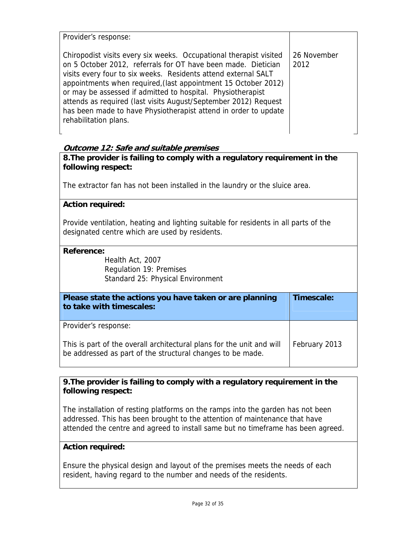Provider's response:

Chiropodist visits every six weeks. Occupational therapist visited on 5 October 2012, referrals for OT have been made. Dietician visits every four to six weeks. Residents attend external SALT appointments when required,(last appointment 15 October 2012) or may be assessed if admitted to hospital. Physiotherapist attends as required (last visits August/September 2012) Request has been made to have Physiotherapist attend in order to update rehabilitation plans. 26 November 2012

## **Outcome 12: Safe and suitable premises**

**8.The provider is failing to comply with a regulatory requirement in the following respect:**

The extractor fan has not been installed in the laundry or the sluice area.

#### **Action required:**

Provide ventilation, heating and lighting suitable for residents in all parts of the designated centre which are used by residents.

#### **Reference:**

Health Act, 2007 Regulation 19: Premises Standard 25: Physical Environment

| Please state the actions you have taken or are planning<br>to take with timescales:                                                 | Timescale:    |
|-------------------------------------------------------------------------------------------------------------------------------------|---------------|
| Provider's response:                                                                                                                |               |
| This is part of the overall architectural plans for the unit and will<br>be addressed as part of the structural changes to be made. | February 2013 |

**9.The provider is failing to comply with a regulatory requirement in the following respect:**

The installation of resting platforms on the ramps into the garden has not been addressed. This has been brought to the attention of maintenance that have attended the centre and agreed to install same but no timeframe has been agreed.

## **Action required:**

Ensure the physical design and layout of the premises meets the needs of each resident, having regard to the number and needs of the residents.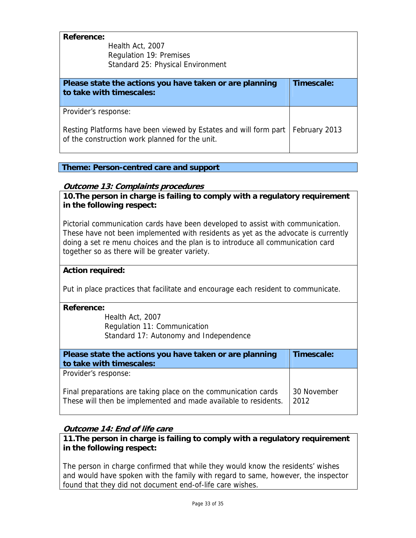| Reference:<br>Health Act, 2007<br>Regulation 19: Premises<br>Standard 25: Physical Environment                                             |               |
|--------------------------------------------------------------------------------------------------------------------------------------------|---------------|
| Please state the actions you have taken or are planning<br>to take with timescales:                                                        | Timescale:    |
| Provider's response:<br>Resting Platforms have been viewed by Estates and will form part<br>of the construction work planned for the unit. | February 2013 |

## **Theme: Person-centred care and support**

## **Outcome 13: Complaints procedures**

**10.The person in charge is failing to comply with a regulatory requirement in the following respect:**

Pictorial communication cards have been developed to assist with communication. These have not been implemented with residents as yet as the advocate is currently doing a set re menu choices and the plan is to introduce all communication card together so as there will be greater variety.

## **Action required:**

Put in place practices that facilitate and encourage each resident to communicate.

#### **Reference:**

Health Act, 2007 Regulation 11: Communication Standard 17: Autonomy and Independence

| Please state the actions you have taken or are planning<br>to take with timescales:                                               | Timescale:          |
|-----------------------------------------------------------------------------------------------------------------------------------|---------------------|
| Provider's response:                                                                                                              |                     |
| Final preparations are taking place on the communication cards<br>These will then be implemented and made available to residents. | 30 November<br>2012 |

## **Outcome 14: End of life care**

**11.The person in charge is failing to comply with a regulatory requirement in the following respect:**

The person in charge confirmed that while they would know the residents' wishes and would have spoken with the family with regard to same, however, the inspector found that they did not document end-of-life care wishes.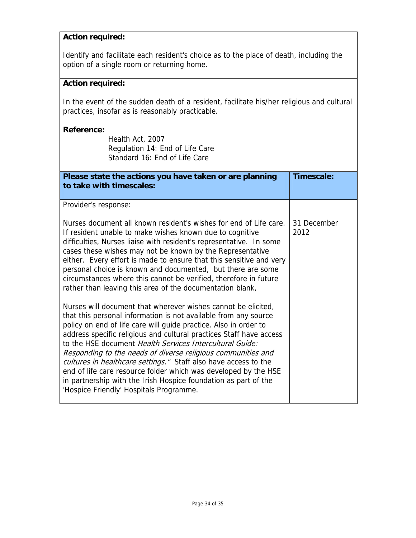## **Action required:**

Identify and facilitate each resident's choice as to the place of death, including the option of a single room or returning home.

## **Action required:**

In the event of the sudden death of a resident, facilitate his/her religious and cultural practices, insofar as is reasonably practicable.

| <b>Reference:</b><br>Health Act, 2007<br>Regulation 14: End of Life Care<br>Standard 16: End of Life Care                                                                                                                                                                                                                                                                                                                                                                                                                                                                                                                                                                                                                                                                                                                                                                                                                                                                                                                                                                                                                                                                                               |                     |
|---------------------------------------------------------------------------------------------------------------------------------------------------------------------------------------------------------------------------------------------------------------------------------------------------------------------------------------------------------------------------------------------------------------------------------------------------------------------------------------------------------------------------------------------------------------------------------------------------------------------------------------------------------------------------------------------------------------------------------------------------------------------------------------------------------------------------------------------------------------------------------------------------------------------------------------------------------------------------------------------------------------------------------------------------------------------------------------------------------------------------------------------------------------------------------------------------------|---------------------|
| Please state the actions you have taken or are planning<br>to take with timescales:                                                                                                                                                                                                                                                                                                                                                                                                                                                                                                                                                                                                                                                                                                                                                                                                                                                                                                                                                                                                                                                                                                                     | Timescale:          |
| Provider's response:                                                                                                                                                                                                                                                                                                                                                                                                                                                                                                                                                                                                                                                                                                                                                                                                                                                                                                                                                                                                                                                                                                                                                                                    |                     |
| Nurses document all known resident's wishes for end of Life care.<br>If resident unable to make wishes known due to cognitive<br>difficulties, Nurses liaise with resident's representative. In some<br>cases these wishes may not be known by the Representative<br>either. Every effort is made to ensure that this sensitive and very<br>personal choice is known and documented, but there are some<br>circumstances where this cannot be verified, therefore in future<br>rather than leaving this area of the documentation blank,<br>Nurses will document that wherever wishes cannot be elicited,<br>that this personal information is not available from any source<br>policy on end of life care will guide practice. Also in order to<br>address specific religious and cultural practices Staff have access<br>to the HSE document Health Services Intercultural Guide:<br>Responding to the needs of diverse religious communities and<br>cultures in healthcare settings." Staff also have access to the<br>end of life care resource folder which was developed by the HSE<br>in partnership with the Irish Hospice foundation as part of the<br>'Hospice Friendly' Hospitals Programme. | 31 December<br>2012 |
|                                                                                                                                                                                                                                                                                                                                                                                                                                                                                                                                                                                                                                                                                                                                                                                                                                                                                                                                                                                                                                                                                                                                                                                                         |                     |